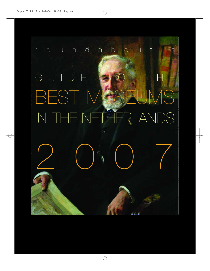# roundabout's GUIDE ALO THE BEST MGSEUMS IN THE NETHERLANDS 2007  $+1.7$

 $\phi$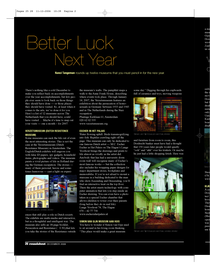# Better Luck Next Year

**Nanci Tangeman** rounds up twelve museums that you must pencil in for the new year.

There's nothing like a cold December to make you reflect back on accomplishments over the year accomplishments, but few people ever seem to look back on those things they should have done — or those places they should have visited. So, at least when it comes to the arts, we've done it for you. Here's a list of 12 museums across The Netherlands that you should have, could have visited … Maybe it's time to map out your visits — one a month – for 2007.

### **VERZETSMUSEUM (DUTCH RESISTENCE**

**MUSEUM)** Some museums can suck the life out of even the most interesting stories. This is not the case at the Verzetsmuseum (Dutch Resistance Museum) in Amsterdam. The English/Dutch exhibits will engross you with false ID papers, spy gadgets, household items, photographs and videos. The museum paints a vivid picture of life in Holland during the German occupation. The stories many of them personal, heroic and sometimes humorous — cast a light on experi-



szetmuseum; exterior, interior

ences that still play a role in Dutch society. The exhibits are multi-media and interactive, but in a thoughtful and intelligent way. The museum also sells an 18-page booklet, Persecution and Resistance ( 0.50), that lets you take the stories of the Resistance outside the museum's walls. The pamphlet maps a walk to the Anne Frank House, describing where events took place. Through January 14, 2007, the Verzetsmuseum features an exhibition about the persecution of homosexuals in Germany between 1933 and 1945 and in The Netherlands during the Nazi occupation.

Plantage Kerklaan 61, Amsterdam 020 62 02 535 www.verzetsmuseum.org

Water flowing uphill. Birds transmogrifying into fish. Reptiles crawling right off the page. This museum can only be dedicated to one famous Dutch artist — M.C. Escher. Escher in Het Paleis on The Hague's Lange Voorhout brings the drawings and prints to life almost as vividly as the artist did. Anybody that has had a university dorm room wall will recognise many of Escher's most famous works — but the collection also includes his wrapping paper designs for major department stores, bookplates and memorabilia. If you're not afraid to mount a staircase in a building dedicated to the man who drew Ascending and Descending, you'll find an interactive treat on the top floor. There the artist meets technology with computer animation that lets you step inside an Escher drawing. You can even have a photo taken in a special Escher chamber that allows children to tower over their parents (long before they do in real life). Lange Voorhout 74, The Hague 070 – 42 77 730 www.escherinhetpaleis.nl

#### **SIMON VAN GIJN MUSEUM AAN HUIS**

**SIMON VAN GIJN MUSEUM AAN HUIS** You have to wonder if Simon van Gijn used to sit around in his living room thinking, "This place would make a great museum

some day." Digging through his cupboards full of ceramics and toys, moving weapons



Simon van Gijn Museum aan Huis; interior

and furniture from room to room, this Dordrecht banker must have had a thought that 150 years later people would quietly "ooh" and "ahh" over his trinkets. Or maybe he just had a little shopping fetish. Here was



Simon van Gijn Museum aan Huis; exterior, interior

a ma muse Gijn Dorg wrot Zaal us cr



 $\bigcirc$ 



the r mov Doro but l dead insta only Unti Kast boar displ



Nieu 078 – www

#### **KIJK**

A ce Dor tect ? hood Thir Dwe home Nest (Sho open was pass use f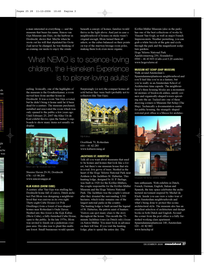a man interested in everything — and the museum that bears his name, Simon van Gijn Museum aan Huis, on the harbour in Dordrecht, shows that. Maybe when he wrote out his will that stipulated his Grote Zaal never be changed, he was thinking of us craning our necks to enjoy the ornate

beneath a canopy of homes; families would thrive in the light above. And just in case a neighbourhood of houses on sticks wasn't original enough, Blom turned them all askew, so the cubes balanced on their points on top of the stairway/storage room poles, making them look even more organic.

### 'What NEMO is to science-loving children, the Heineken Experience is to pilsner-loving adults'

ceiling. Ironically, one of the highlights of the museum is the Goudleerkamer, a room moved here from another house in Dordrecht. It was a room Van Gijn coveted, but he didn't bring it home until he'd been dead for a century. The museum purchased, installed and renovated the room which was only opened to the public a few years ago. Until February 25, 2007 the Alles Uit de Kast exhibit throws open the banker's cupboards to show many items not usually on display.

rds ons

ght y aybe was



Simon van Gijn Museum aan Huis

Nieuwe Haven 29-30, Dordrecht 078 – 63 98 200 www.simonvangijn.nl

#### **KIJK KUBUS (SHOW CUBE)**

A century after Van Gijn was stuffing his Dordrecht home full of curios, Dutch architect Piet Blom was designing a neighbourhood that was curious in its own right. Thirty-eight Cube Houses (or Pole Dwellings) form a forest of tree-shaped homes near Rotterdam's Oude Haven. Nestled into this forest is the Kijk Kubus (Show Cube), a fully-furnished Cube House, open to the public. In the late 1970s, Blom was invited to finish out a pedestrian overpass area. His idea was to plant this multiuse forest. Small businesses would operate

Surprisingly (or not) the compact homes all sold before they were built (probably not to collectors like Van Gijn).



Kijk Kubus

Overblaak 70, Rotterdam 010 – 41 42 285 www.kubuswoning.nl

#### **JACHTHUIS ST. HUBERTUS**

Talk all you want about museums that used to be homes and homes that look like a forest, but there's one museum house that sits in a real, live grove of trees. Nestled in the heart of the Hoge Veluwe National Park near Arnhem is the Jachthuis St. Hubertus. This hunting lodge, designed by H. P. Berlage, was built in 1920 for the Kröller-Müllers, the couple responsible for the Kröller-Müller Museum and the Hoge Veluwe National Park. The Jachthuis was the couple's retreat after they donated the surrounding 5,500 hectares, which today remains one of the largest national parks in the country. The hunting lodge is built around the legend of St. Hubertus, the patron saint of hunters. Visitors can spot many clues to the story throughout the house. This month the 75 minute Jachthuis tours (in Dutch only) focus on Anton Müller. You must book in advance on their toll line. If you visit the hunting lodge, plan to spend the entire day. The

Kröller-Müller Museum (also in the park) has one of the best collections of works by Vincent Van Gogh, as well as major French Impressionists. Weather permitting, you can grab a white bicycle at the gate and cycle through the park and the magnificent sculpture gardens.

Hoge Veluwe National Park Apeldoornseweg 250, Hoenderloo 0900 – 46 43 835 (Calls cost 0.20 cents/m) www.hogeveluwe.nl

#### **MUSEUM HET SCHIP (SHIP MUSEUM)**  Walk around Amsterdam's

Spaarndammerplantsoen neighbourhood and you'll feel like you're in a fantasy, but you're really in an Amsterdam School of Architecture time capsule. The neighbourhood's three housing blocks are a monumental mixture of brickwork eddies, unruly corners and organically-shaped towers sprouting into the air. Tucked into one of these dizzying corners is Museum Het Schip (The Ship). Technically a documentation centre for public housing, the strangely shaped restored post office is a Mecca for architec-



Museum Het Schin

ture enthusiasts. With exhibits in Dutch, French, German, English, Italian and Spanish, the tiny space celebrates the architectural movement inspired by Michel de Klerk. Inside you can view a video tour of other Amsterdam neighbourhoods and what's being done to protect this iconic architectural style. The museum also has an excellent selection of architecture and design books in both Dutch and English. Around the corner from the post office is a fully furnished working class apartment. Spaarndammerplantsoen 140, Amsterdam 020 - 41 82 885 www.hetschip.nl